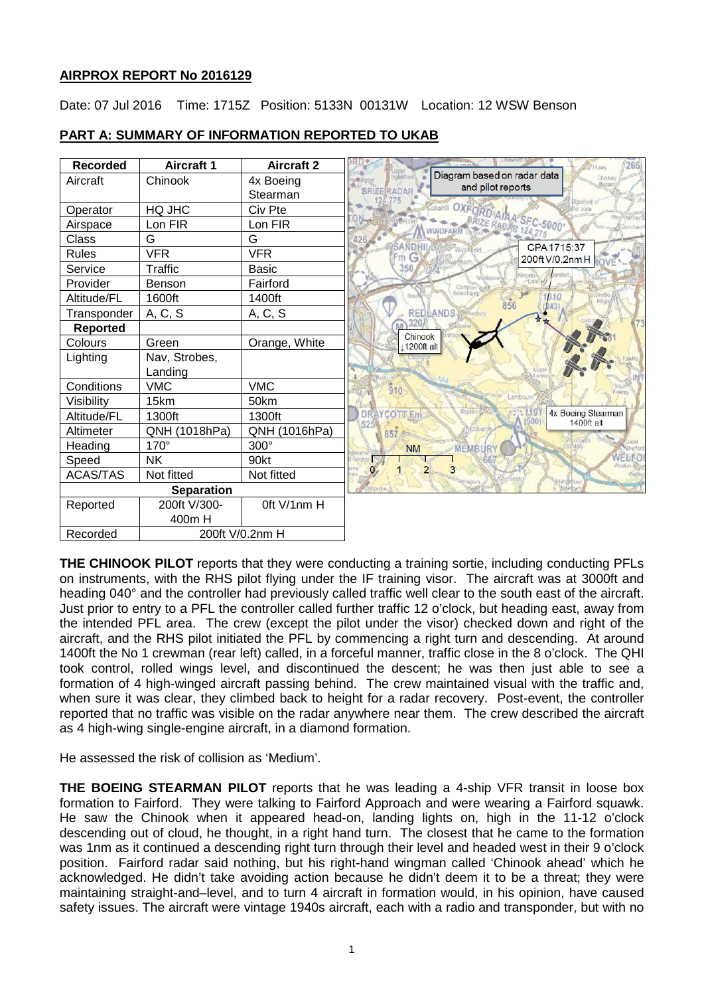# **AIRPROX REPORT No 2016129**

Date: 07 Jul 2016 Time: 1715Z Position: 5133N 00131W Location: 12 WSW Benson



# **PART A: SUMMARY OF INFORMATION REPORTED TO UKAB**

**THE CHINOOK PILOT** reports that they were conducting a training sortie, including conducting PFLs on instruments, with the RHS pilot flying under the IF training visor. The aircraft was at 3000ft and heading 040° and the controller had previously called traffic well clear to the south east of the aircraft. Just prior to entry to a PFL the controller called further traffic 12 o'clock, but heading east, away from the intended PFL area. The crew (except the pilot under the visor) checked down and right of the aircraft, and the RHS pilot initiated the PFL by commencing a right turn and descending. At around 1400ft the No 1 crewman (rear left) called, in a forceful manner, traffic close in the 8 o'clock. The QHI took control, rolled wings level, and discontinued the descent; he was then just able to see a formation of 4 high-winged aircraft passing behind. The crew maintained visual with the traffic and, when sure it was clear, they climbed back to height for a radar recovery. Post-event, the controller reported that no traffic was visible on the radar anywhere near them. The crew described the aircraft as 4 high-wing single-engine aircraft, in a diamond formation.

He assessed the risk of collision as 'Medium'.

**THE BOEING STEARMAN PILOT** reports that he was leading a 4-ship VFR transit in loose box formation to Fairford. They were talking to Fairford Approach and were wearing a Fairford squawk. He saw the Chinook when it appeared head-on, landing lights on, high in the 11-12 o'clock descending out of cloud, he thought, in a right hand turn. The closest that he came to the formation was 1nm as it continued a descending right turn through their level and headed west in their 9 o'clock position. Fairford radar said nothing, but his right-hand wingman called 'Chinook ahead' which he acknowledged. He didn't take avoiding action because he didn't deem it to be a threat; they were maintaining straight-and–level, and to turn 4 aircraft in formation would, in his opinion, have caused safety issues. The aircraft were vintage 1940s aircraft, each with a radio and transponder, but with no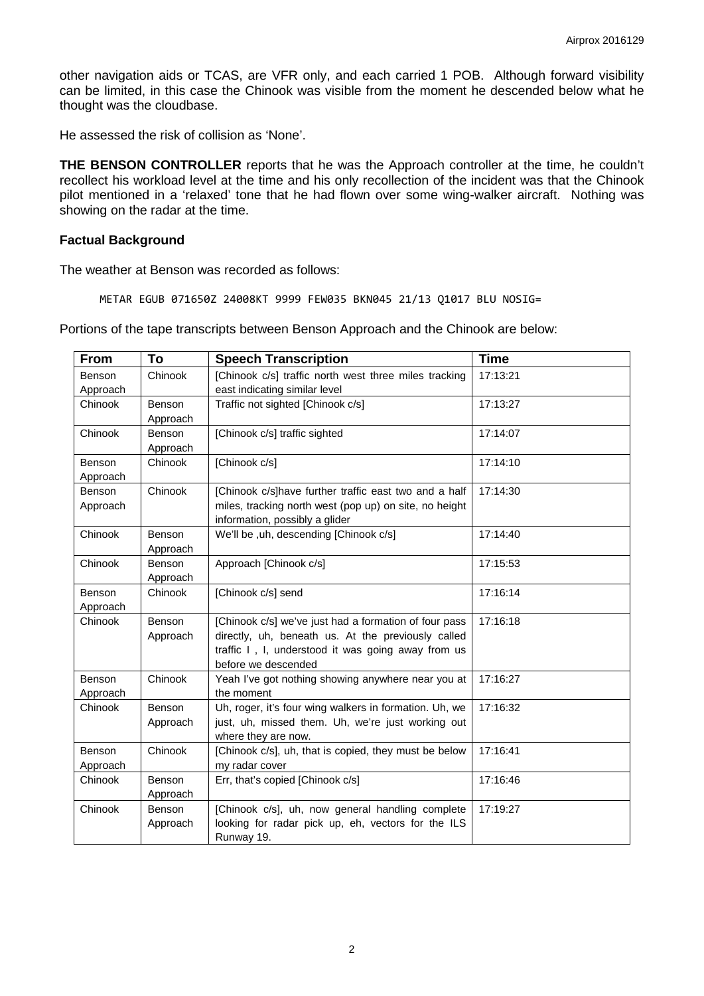other navigation aids or TCAS, are VFR only, and each carried 1 POB. Although forward visibility can be limited, in this case the Chinook was visible from the moment he descended below what he thought was the cloudbase.

He assessed the risk of collision as 'None'.

**THE BENSON CONTROLLER** reports that he was the Approach controller at the time, he couldn't recollect his workload level at the time and his only recollection of the incident was that the Chinook pilot mentioned in a 'relaxed' tone that he had flown over some wing-walker aircraft. Nothing was showing on the radar at the time.

### **Factual Background**

The weather at Benson was recorded as follows:

METAR EGUB 071650Z 24008KT 9999 FEW035 BKN045 21/13 Q1017 BLU NOSIG=

Portions of the tape transcripts between Benson Approach and the Chinook are below:

| From     | To       | <b>Speech Transcription</b>                            | <b>Time</b> |
|----------|----------|--------------------------------------------------------|-------------|
| Benson   | Chinook  | [Chinook c/s] traffic north west three miles tracking  | 17:13:21    |
| Approach |          | east indicating similar level                          |             |
| Chinook  | Benson   | Traffic not sighted [Chinook c/s]                      | 17:13:27    |
|          | Approach |                                                        |             |
| Chinook  | Benson   | [Chinook c/s] traffic sighted                          | 17:14:07    |
|          | Approach |                                                        |             |
| Benson   | Chinook  | [Chinook c/s]                                          | 17:14:10    |
| Approach |          |                                                        |             |
| Benson   | Chinook  | [Chinook c/s] have further traffic east two and a half | 17:14:30    |
| Approach |          | miles, tracking north west (pop up) on site, no height |             |
|          |          | information, possibly a glider                         |             |
| Chinook  | Benson   | We'll be, uh, descending [Chinook c/s]                 | 17:14:40    |
|          | Approach |                                                        |             |
| Chinook  | Benson   | Approach [Chinook c/s]                                 | 17:15:53    |
|          | Approach |                                                        |             |
| Benson   | Chinook  | [Chinook c/s] send                                     | 17:16:14    |
| Approach |          |                                                        |             |
| Chinook  | Benson   | [Chinook c/s] we've just had a formation of four pass  | 17:16:18    |
|          | Approach | directly, uh, beneath us. At the previously called     |             |
|          |          | traffic I, I, understood it was going away from us     |             |
|          |          | before we descended                                    |             |
| Benson   | Chinook  | Yeah I've got nothing showing anywhere near you at     | 17:16:27    |
| Approach |          | the moment                                             |             |
| Chinook  | Benson   | Uh, roger, it's four wing walkers in formation. Uh, we | 17:16:32    |
|          | Approach | just, uh, missed them. Uh, we're just working out      |             |
|          |          | where they are now.                                    |             |
| Benson   | Chinook  | [Chinook c/s], uh, that is copied, they must be below  | 17:16:41    |
| Approach |          | my radar cover                                         |             |
| Chinook  | Benson   | Err, that's copied [Chinook c/s]                       | 17:16:46    |
|          | Approach |                                                        |             |
| Chinook  | Benson   | [Chinook c/s], uh, now general handling complete       | 17:19:27    |
|          | Approach | looking for radar pick up, eh, vectors for the ILS     |             |
|          |          | Runway 19.                                             |             |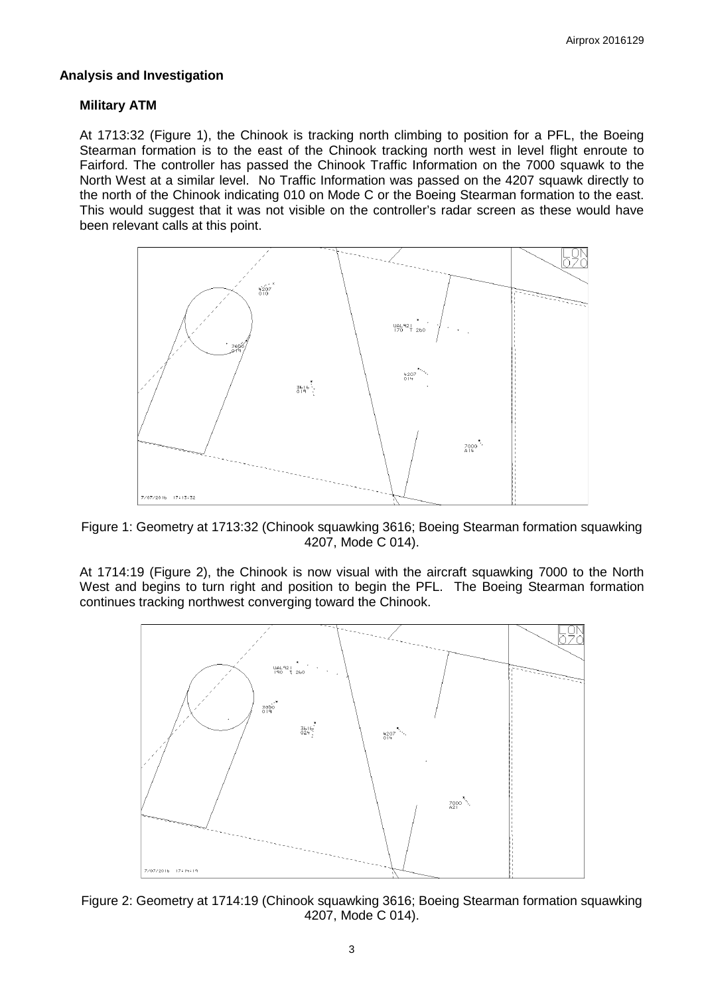### **Analysis and Investigation**

### **Military ATM**

At 1713:32 (Figure 1), the Chinook is tracking north climbing to position for a PFL, the Boeing Stearman formation is to the east of the Chinook tracking north west in level flight enroute to Fairford. The controller has passed the Chinook Traffic Information on the 7000 squawk to the North West at a similar level. No Traffic Information was passed on the 4207 squawk directly to the north of the Chinook indicating 010 on Mode C or the Boeing Stearman formation to the east. This would suggest that it was not visible on the controller's radar screen as these would have been relevant calls at this point.



Figure 1: Geometry at 1713:32 (Chinook squawking 3616; Boeing Stearman formation squawking 4207, Mode C 014).

At 1714:19 (Figure 2), the Chinook is now visual with the aircraft squawking 7000 to the North West and begins to turn right and position to begin the PFL. The Boeing Stearman formation continues tracking northwest converging toward the Chinook.



Figure 2: Geometry at 1714:19 (Chinook squawking 3616; Boeing Stearman formation squawking 4207, Mode C 014).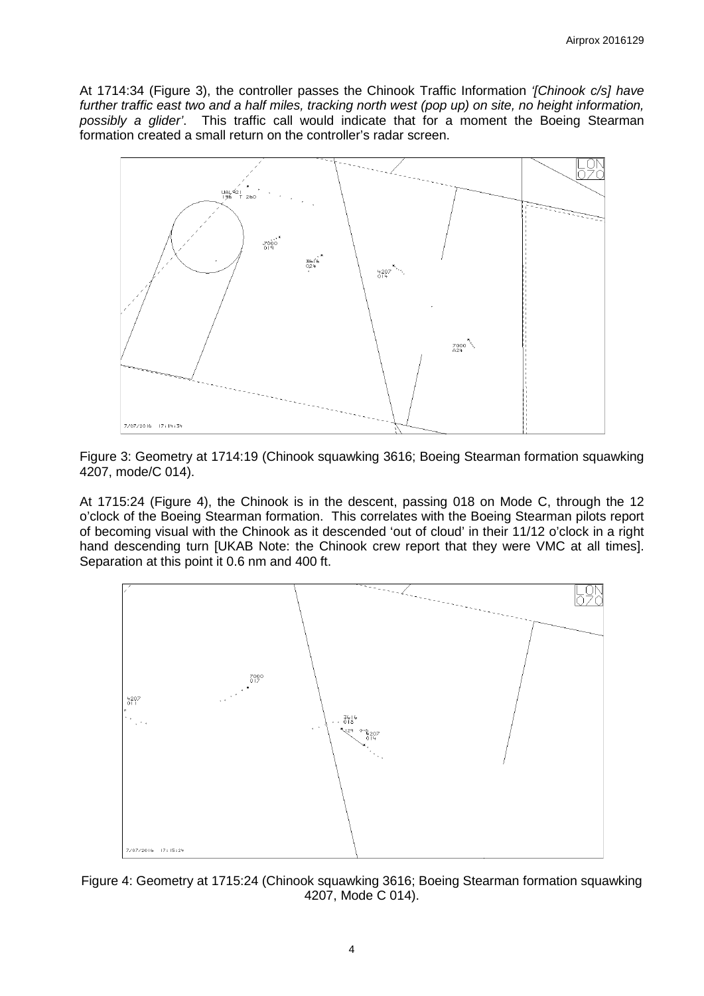At 1714:34 (Figure 3), the controller passes the Chinook Traffic Information *'[Chinook c/s] have further traffic east two and a half miles, tracking north west (pop up) on site, no height information, possibly a glider'*. This traffic call would indicate that for a moment the Boeing Stearman formation created a small return on the controller's radar screen.



Figure 3: Geometry at 1714:19 (Chinook squawking 3616; Boeing Stearman formation squawking 4207, mode/C 014).

At 1715:24 (Figure 4), the Chinook is in the descent, passing 018 on Mode C, through the 12 o'clock of the Boeing Stearman formation. This correlates with the Boeing Stearman pilots report of becoming visual with the Chinook as it descended 'out of cloud' in their 11/12 o'clock in a right hand descending turn [UKAB Note: the Chinook crew report that they were VMC at all times]. Separation at this point it 0.6 nm and 400 ft.



Figure 4: Geometry at 1715:24 (Chinook squawking 3616; Boeing Stearman formation squawking 4207, Mode C 014).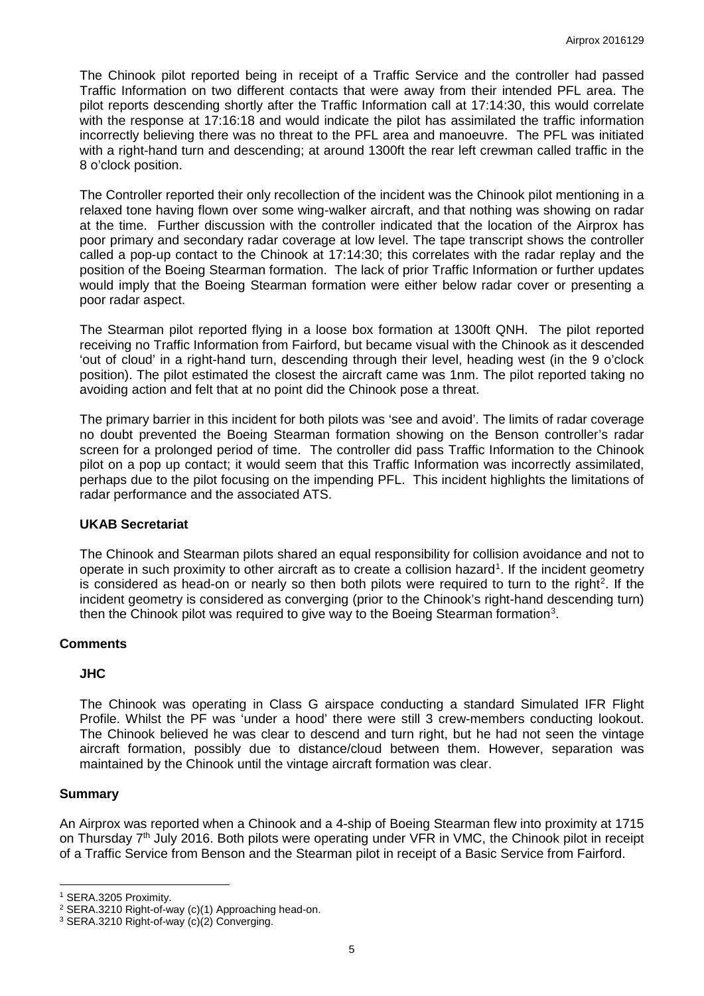The Chinook pilot reported being in receipt of a Traffic Service and the controller had passed Traffic Information on two different contacts that were away from their intended PFL area. The pilot reports descending shortly after the Traffic Information call at 17:14:30, this would correlate with the response at 17:16:18 and would indicate the pilot has assimilated the traffic information incorrectly believing there was no threat to the PFL area and manoeuvre. The PFL was initiated with a right-hand turn and descending; at around 1300ft the rear left crewman called traffic in the 8 o'clock position.

The Controller reported their only recollection of the incident was the Chinook pilot mentioning in a relaxed tone having flown over some wing-walker aircraft, and that nothing was showing on radar at the time. Further discussion with the controller indicated that the location of the Airprox has poor primary and secondary radar coverage at low level. The tape transcript shows the controller called a pop-up contact to the Chinook at 17:14:30; this correlates with the radar replay and the position of the Boeing Stearman formation. The lack of prior Traffic Information or further updates would imply that the Boeing Stearman formation were either below radar cover or presenting a poor radar aspect.

The Stearman pilot reported flying in a loose box formation at 1300ft QNH. The pilot reported receiving no Traffic Information from Fairford, but became visual with the Chinook as it descended 'out of cloud' in a right-hand turn, descending through their level, heading west (in the 9 o'clock position). The pilot estimated the closest the aircraft came was 1nm. The pilot reported taking no avoiding action and felt that at no point did the Chinook pose a threat.

The primary barrier in this incident for both pilots was 'see and avoid'. The limits of radar coverage no doubt prevented the Boeing Stearman formation showing on the Benson controller's radar screen for a prolonged period of time. The controller did pass Traffic Information to the Chinook pilot on a pop up contact; it would seem that this Traffic Information was incorrectly assimilated, perhaps due to the pilot focusing on the impending PFL. This incident highlights the limitations of radar performance and the associated ATS.

#### **UKAB Secretariat**

The Chinook and Stearman pilots shared an equal responsibility for collision avoidance and not to operate in such proximity to other aircraft as to create a collision hazard<sup>[1](#page-4-0)</sup>. If the incident geometry is considered as head-on or nearly so then both pilots were required to turn to the right<sup>[2](#page-4-1)</sup>. If the incident geometry is considered as converging (prior to the Chinook's right-hand descending turn) then the Chinook pilot was required to give way to the Boeing Stearman formation<sup>[3](#page-4-2)</sup>.

#### **Comments**

#### **JHC**

The Chinook was operating in Class G airspace conducting a standard Simulated IFR Flight Profile. Whilst the PF was 'under a hood' there were still 3 crew-members conducting lookout. The Chinook believed he was clear to descend and turn right, but he had not seen the vintage aircraft formation, possibly due to distance/cloud between them. However, separation was maintained by the Chinook until the vintage aircraft formation was clear.

#### **Summary**

 $\overline{\phantom{a}}$ 

An Airprox was reported when a Chinook and a 4-ship of Boeing Stearman flew into proximity at 1715 on Thursday 7th July 2016. Both pilots were operating under VFR in VMC, the Chinook pilot in receipt of a Traffic Service from Benson and the Stearman pilot in receipt of a Basic Service from Fairford.

<span id="page-4-0"></span><sup>1</sup> SERA.3205 Proximity.

<span id="page-4-1"></span><sup>2</sup> SERA.3210 Right-of-way (c)(1) Approaching head-on.

<span id="page-4-2"></span><sup>3</sup> SERA.3210 Right-of-way (c)(2) Converging.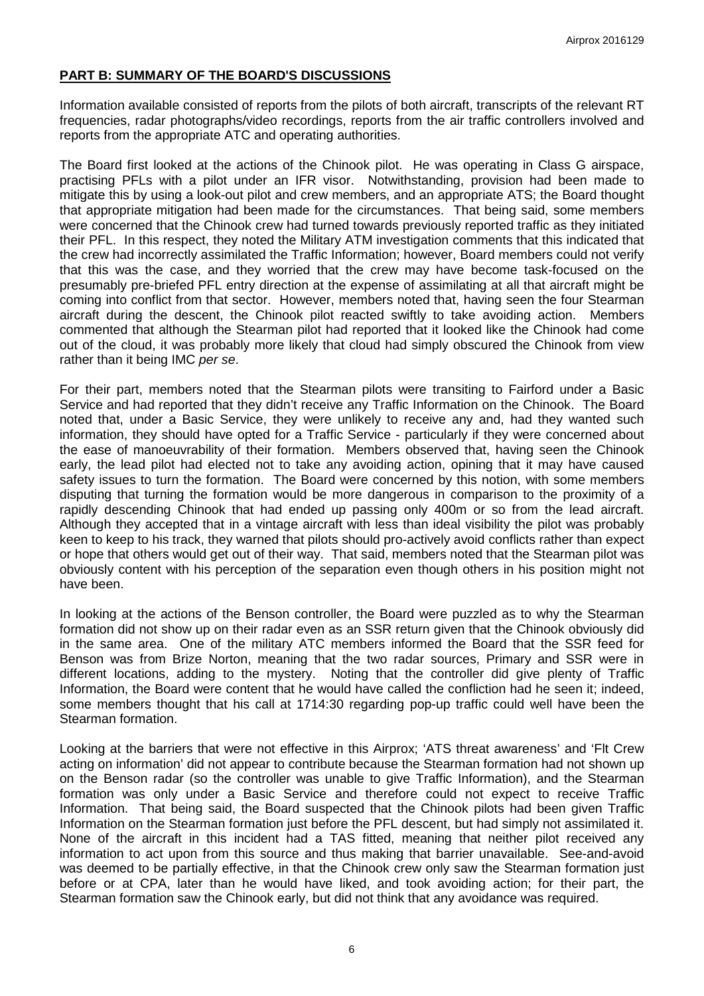# **PART B: SUMMARY OF THE BOARD'S DISCUSSIONS**

Information available consisted of reports from the pilots of both aircraft, transcripts of the relevant RT frequencies, radar photographs/video recordings, reports from the air traffic controllers involved and reports from the appropriate ATC and operating authorities.

The Board first looked at the actions of the Chinook pilot. He was operating in Class G airspace, practising PFLs with a pilot under an IFR visor. Notwithstanding, provision had been made to mitigate this by using a look-out pilot and crew members, and an appropriate ATS; the Board thought that appropriate mitigation had been made for the circumstances. That being said, some members were concerned that the Chinook crew had turned towards previously reported traffic as they initiated their PFL. In this respect, they noted the Military ATM investigation comments that this indicated that the crew had incorrectly assimilated the Traffic Information; however, Board members could not verify that this was the case, and they worried that the crew may have become task-focused on the presumably pre-briefed PFL entry direction at the expense of assimilating at all that aircraft might be coming into conflict from that sector. However, members noted that, having seen the four Stearman aircraft during the descent, the Chinook pilot reacted swiftly to take avoiding action. Members commented that although the Stearman pilot had reported that it looked like the Chinook had come out of the cloud, it was probably more likely that cloud had simply obscured the Chinook from view rather than it being IMC *per se*.

For their part, members noted that the Stearman pilots were transiting to Fairford under a Basic Service and had reported that they didn't receive any Traffic Information on the Chinook. The Board noted that, under a Basic Service, they were unlikely to receive any and, had they wanted such information, they should have opted for a Traffic Service - particularly if they were concerned about the ease of manoeuvrability of their formation. Members observed that, having seen the Chinook early, the lead pilot had elected not to take any avoiding action, opining that it may have caused safety issues to turn the formation. The Board were concerned by this notion, with some members disputing that turning the formation would be more dangerous in comparison to the proximity of a rapidly descending Chinook that had ended up passing only 400m or so from the lead aircraft. Although they accepted that in a vintage aircraft with less than ideal visibility the pilot was probably keen to keep to his track, they warned that pilots should pro-actively avoid conflicts rather than expect or hope that others would get out of their way. That said, members noted that the Stearman pilot was obviously content with his perception of the separation even though others in his position might not have been.

In looking at the actions of the Benson controller, the Board were puzzled as to why the Stearman formation did not show up on their radar even as an SSR return given that the Chinook obviously did in the same area. One of the military ATC members informed the Board that the SSR feed for Benson was from Brize Norton, meaning that the two radar sources, Primary and SSR were in different locations, adding to the mystery. Noting that the controller did give plenty of Traffic Information, the Board were content that he would have called the confliction had he seen it; indeed, some members thought that his call at 1714:30 regarding pop-up traffic could well have been the Stearman formation.

Looking at the barriers that were not effective in this Airprox; 'ATS threat awareness' and 'Flt Crew acting on information' did not appear to contribute because the Stearman formation had not shown up on the Benson radar (so the controller was unable to give Traffic Information), and the Stearman formation was only under a Basic Service and therefore could not expect to receive Traffic Information. That being said, the Board suspected that the Chinook pilots had been given Traffic Information on the Stearman formation just before the PFL descent, but had simply not assimilated it. None of the aircraft in this incident had a TAS fitted, meaning that neither pilot received any information to act upon from this source and thus making that barrier unavailable. See-and-avoid was deemed to be partially effective, in that the Chinook crew only saw the Stearman formation just before or at CPA, later than he would have liked, and took avoiding action; for their part, the Stearman formation saw the Chinook early, but did not think that any avoidance was required.